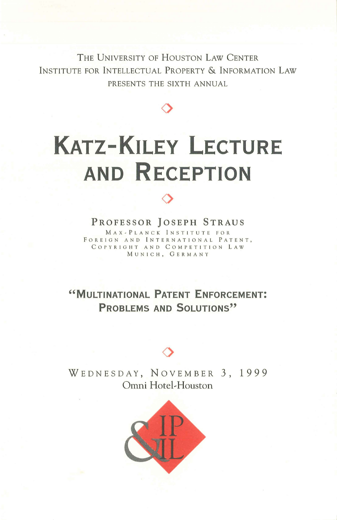THE UNIVERSITY OF HOUSTON LAW CENTER INSTITUTE FOR INTELLECTUAL PROPERTY & INFORMATION LAW PRESENTS THE SIXTH ANNUAL

 $\Diamond$ 

# **KATZ-KILEY LECTURE AND RECEPTION**

#### PROFESSOR JOSEPH STRAUS

 $\Diamond$ 

MAX-PLANCK INSTITUTE FOR FOREIGN AND INTERNATIONAL PATENT, COPYRIGHT AND COMPETITION LAW MUNICH, GERMANY

**"MULTINATIONAL PATENT ENFORCEMENT: PROBLEMS AND SOLUTIONS"** 

### $\Diamond$

WEDNESDAY, NOVEMBER 3, 1999 Omni Hotel~ Houston

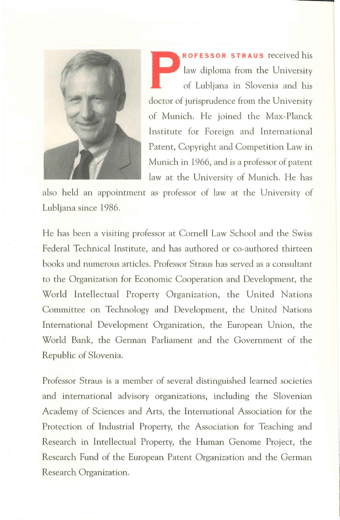

**PROFESSOR STRAUS** received his law diploma from the University of Lubljana in Slovenia and his law diploma from the University of Lubljana in Slovenia and his doctor of jurisprudence from the University of Munich. He joined the Max~Planck Institute for Foreign and International Patent, Copyright and Competition Law in Munich in 1966, and is a professor of patent law at the University of Munich. He has

also held an appointment as professor of law at the University of Lubljana since 1986.

He has been a visiting professor at Cornell Law School and the Swiss Federal Technical Institute, and has authored or co-authored thirteen books and numerous articles. Professor Straus has served as a consultant to the Organization for Economic Cooperation and Development, the World Intellectual Property Organization, the United Nations Committee on Technology and Development, the United Nations International Development Organization, the European Union, the World Bank, the German Parliament and the Government of the Republic of Slovenia.

Professor Straus is a member of several distinguished learned societies and international advisory organizations, including the Slovenian Academy of Sciences and Arts, the International Association for the Protection of Industrial Property, the Association for Teaching and Research in Intellectual Property, the Human Genome Project, the Research Fund of the European Patent Organization and the German Research Organization.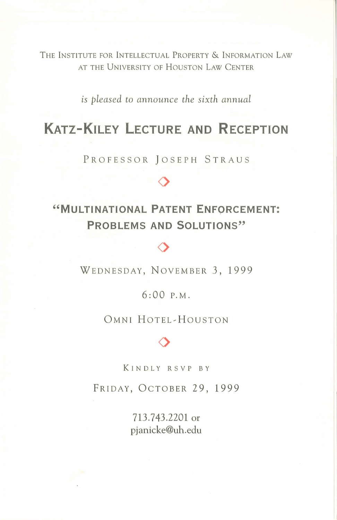THE INSTITUTE FOR INTELLECTUAL PROPERTY & INFORMATION LAW AT THE UNIVERSITY OF HOUSTON LAW CENTER

*is pleased to announce the sixth annual* 

# **KATZ-KILEY LECTURE AND RECEPTION**

PROFESSOR JOSEPH STRAUS

 $\Diamond$ 

## **"MULTINATIONAL PATENT ENFORCEMENT: PROBLEMS AND SOLUTIONS"**

WEDNESDAY, NOVEMBER 3, 1999

 $\Diamond$ 

6:00 P.M.

OMNI HOTEL~HOUSTON

# $\Diamond$

KINDLY RSVP BY

FRIDAY, OCTOBER 29, 1999

713.743.2201 or pjanicke@uh.edu